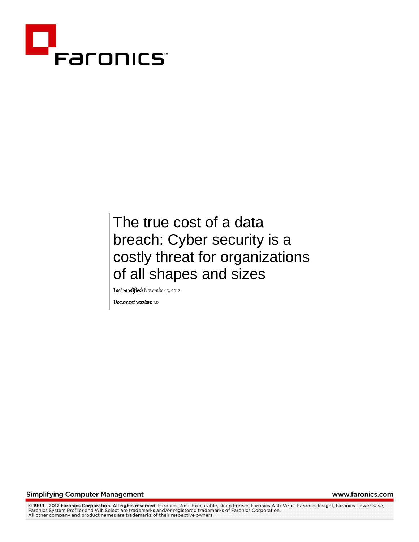

# The true cost of a data breach: Cyber security is a costly threat for organizations of all shapes and sizes

Last modified: November 5, 2012

Document version: 1.0

**Simplifying Computer Management** 

www.faronics.com

@ 1999 - 2012 Faronics Corporation. All rights reserved. Faronics, Anti-Executable, Deep Freeze, Faronics Anti-Virus, Faronics Insight, Faronics Power Save, Faronics System Profiler and WINSelect are trademarks and/or registered trademarks of Faronics Corporation.<br>All other company and product names are trademarks of their respective owners.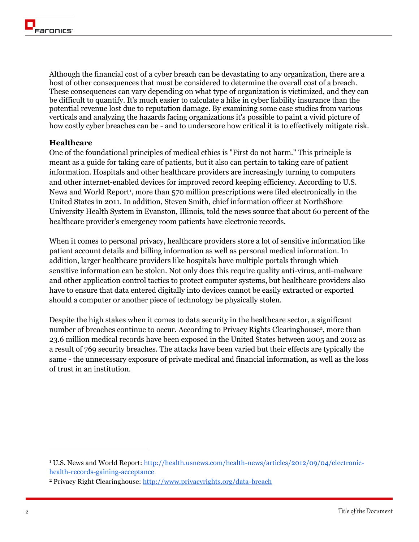Although the financial cost of a cyber breach can be devastating to any organization, there are a host of other consequences that must be considered to determine the overall cost of a breach. These consequences can vary depending on what type of organization is victimized, and they can be difficult to quantify. It's much easier to calculate a hike in cyber liability insurance than the potential revenue lost due to reputation damage. By examining some case studies from various verticals and analyzing the hazards facing organizations it's possible to paint a vivid picture of how costly cyber breaches can be - and to underscore how critical it is to effectively mitigate risk.

#### **Healthcare**

One of the foundational principles of medical ethics is "First do not harm." This principle is meant as a guide for taking care of patients, but it also can pertain to taking care of patient information. Hospitals and other healthcare providers are increasingly turning to computers and other internet-enabled devices for improved record keeping efficiency. According to U.S. News and World Report<sup>1</sup>, more than 570 million prescriptions were filed electronically in the United States in 2011. In addition, Steven Smith, chief information officer at NorthShore University Health System in Evanston, Illinois, told the news source that about 60 percent of the healthcare provider's emergency room patients have electronic records.

When it comes to personal privacy, healthcare providers store a lot of sensitive information like patient account details and billing information as well as personal medical information. In addition, larger healthcare providers like hospitals have multiple portals through which sensitive information can be stolen. Not only does this require quality anti-virus, anti-malware and other application control tactics to protect computer systems, but healthcare providers also have to ensure that data entered digitally into devices cannot be easily extracted or exported should a computer or another piece of technology be physically stolen.

Despite the high stakes when it comes to data security in the healthcare sector, a significant number of breaches continue to occur. According to Privacy Rights Clearinghouse<sup>2</sup>, more than 23.6 million medical records have been exposed in the United States between 2005 and 2012 as a result of 769 security breaches. The attacks have been varied but their effects are typically the same - the unnecessary exposure of private medical and financial information, as well as the loss of trust in an institution.

<sup>&</sup>lt;sup>1</sup> U.S. News and World Report: [http://health.usnews.com/health-news/articles/2012/09/04/electronic](http://health.usnews.com/health-news/articles/2012/09/04/electronic-health-records-gaining-acceptance)[health-records-gaining-acceptance](http://health.usnews.com/health-news/articles/2012/09/04/electronic-health-records-gaining-acceptance)

<sup>2</sup> Privacy Right Clearinghouse:<http://www.privacyrights.org/data-breach>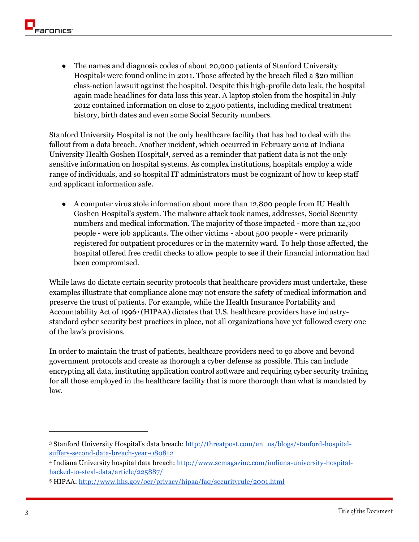The names and diagnosis codes of about 20,000 patients of Stanford University Hospital<sup>3</sup> were found online in 2011. Those affected by the breach filed a \$20 million class-action lawsuit against the hospital. Despite this high-profile data leak, the hospital again made headlines for data loss this year. A laptop stolen from the hospital in July 2012 contained information on close to 2,500 patients, including medical treatment history, birth dates and even some Social Security numbers.

Stanford University Hospital is not the only healthcare facility that has had to deal with the fallout from a data breach. Another incident, which occurred in February 2012 at Indiana University Health Goshen Hospital<sup>4</sup> , served as a reminder that patient data is not the only sensitive information on hospital systems. As complex institutions, hospitals employ a wide range of individuals, and so hospital IT administrators must be cognizant of how to keep staff and applicant information safe.

● A computer virus stole information about more than 12,800 people from IU Health Goshen Hospital's system. The malware attack took names, addresses, Social Security numbers and medical information. The majority of those impacted - more than 12,300 people - were job applicants. The other victims - about 500 people - were primarily registered for outpatient procedures or in the maternity ward. To help those affected, the hospital offered free credit checks to allow people to see if their financial information had been compromised.

While laws do dictate certain security protocols that healthcare providers must undertake, these examples illustrate that compliance alone may not ensure the safety of medical information and preserve the trust of patients. For example, while the Health Insurance Portability and Accountability Act of 1996<sup>5</sup> (HIPAA) dictates that U.S. healthcare providers have industrystandard cyber security best practices in place, not all organizations have yet followed every one of the law's provisions.

In order to maintain the trust of patients, healthcare providers need to go above and beyond government protocols and create as thorough a cyber defense as possible. This can include encrypting all data, instituting application control software and requiring cyber security training for all those employed in the healthcare facility that is more thorough than what is mandated by law.

<sup>&</sup>lt;sup>3</sup> Stanford University Hospital's data breach: [http://threatpost.com/en\\_us/blogs/stanford-hospital](http://threatpost.com/en_us/blogs/stanford-hospital-suffers-second-data-breach-year-080812)[suffers-second-data-breach-year-080812](http://threatpost.com/en_us/blogs/stanford-hospital-suffers-second-data-breach-year-080812)

<sup>4</sup> Indiana University hospital data breach: [http://www.scmagazine.com/indiana-university-hospital](http://www.scmagazine.com/indiana-university-hospital-hacked-to-steal-data/article/225887/)[hacked-to-steal-data/article/225887/](http://www.scmagazine.com/indiana-university-hospital-hacked-to-steal-data/article/225887/)

<sup>5</sup> HIPAA:<http://www.hhs.gov/ocr/privacy/hipaa/faq/securityrule/2001.html>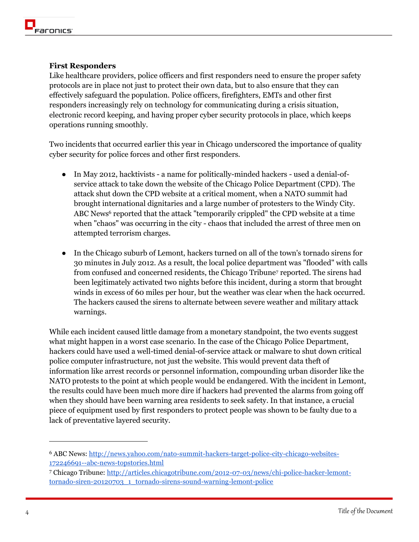## **First Responders**

Like healthcare providers, police officers and first responders need to ensure the proper safety protocols are in place not just to protect their own data, but to also ensure that they can effectively safeguard the population. Police officers, firefighters, EMTs and other first responders increasingly rely on technology for communicating during a crisis situation, electronic record keeping, and having proper cyber security protocols in place, which keeps operations running smoothly.

Two incidents that occurred earlier this year in Chicago underscored the importance of quality cyber security for police forces and other first responders.

- In May 2012, hacktivists a name for politically-minded hackers used a denial-ofservice attack to take down the website of the Chicago Police Department (CPD). The attack shut down the CPD website at a critical moment, when a NATO summit had brought international dignitaries and a large number of protesters to the Windy City. ABC News<sup>6</sup> reported that the attack "temporarily crippled" the CPD website at a time when "chaos" was occurring in the city - chaos that included the arrest of three men on attempted terrorism charges.
- In the Chicago suburb of Lemont, hackers turned on all of the town's tornado sirens for 30 minutes in July 2012. As a result, the local police department was "flooded" with calls from confused and concerned residents, the Chicago Tribune<sup>7</sup> reported. The sirens had been legitimately activated two nights before this incident, during a storm that brought winds in excess of 60 miles per hour, but the weather was clear when the hack occurred. The hackers caused the sirens to alternate between severe weather and military attack warnings.

While each incident caused little damage from a monetary standpoint, the two events suggest what might happen in a worst case scenario. In the case of the Chicago Police Department, hackers could have used a well-timed denial-of-service attack or malware to shut down critical police computer infrastructure, not just the website. This would prevent data theft of information like arrest records or personnel information, compounding urban disorder like the NATO protests to the point at which people would be endangered. With the incident in Lemont, the results could have been much more dire if hackers had prevented the alarms from going off when they should have been warning area residents to seek safety. In that instance, a crucial piece of equipment used by first responders to protect people was shown to be faulty due to a lack of preventative layered security.

<sup>6</sup> ABC News: [http://news.yahoo.com/nato-summit-hackers-target-police-city-chicago-websites-](http://news.yahoo.com/nato-summit-hackers-target-police-city-chicago-websites-172246691--abc-news-topstories.html)[172246691--abc-news-topstories.html](http://news.yahoo.com/nato-summit-hackers-target-police-city-chicago-websites-172246691--abc-news-topstories.html)

<sup>7</sup> Chicago Tribune: [http://articles.chicagotribune.com/2012-07-03/news/chi-police-hacker-lemont](http://articles.chicagotribune.com/2012-07-03/news/chi-police-hacker-lemont-tornado-siren-20120703_1_tornado-sirens-sound-warning-lemont-police)[tornado-siren-20120703\\_1\\_tornado-sirens-sound-warning-lemont-police](http://articles.chicagotribune.com/2012-07-03/news/chi-police-hacker-lemont-tornado-siren-20120703_1_tornado-sirens-sound-warning-lemont-police)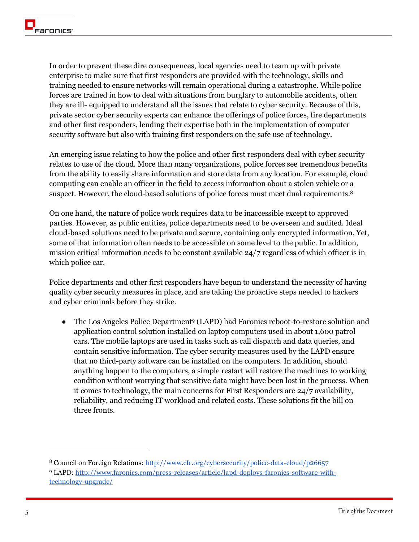In order to prevent these dire consequences, local agencies need to team up with private enterprise to make sure that first responders are provided with the technology, skills and training needed to ensure networks will remain operational during a catastrophe. While police forces are trained in how to deal with situations from burglary to automobile accidents, often they are ill- equipped to understand all the issues that relate to cyber security. Because of this, private sector cyber security experts can enhance the offerings of police forces, fire departments and other first responders, lending their expertise both in the implementation of computer security software but also with training first responders on the safe use of technology.

An emerging issue relating to how the police and other first responders deal with cyber security relates to use of the cloud. More than many organizations, police forces see tremendous benefits from the ability to easily share information and store data from any location. For example, cloud computing can enable an officer in the field to access information about a stolen vehicle or a suspect. However, the cloud-based solutions of police forces must meet dual requirements.<sup>8</sup>

On one hand, the nature of police work requires data to be inaccessible except to approved parties. However, as public entities, police departments need to be overseen and audited. Ideal cloud-based solutions need to be private and secure, containing only encrypted information. Yet, some of that information often needs to be accessible on some level to the public. In addition, mission critical information needs to be constant available 24/7 regardless of which officer is in which police car.

Police departments and other first responders have begun to understand the necessity of having quality cyber security measures in place, and are taking the proactive steps needed to hackers and cyber criminals before they strike.

• The Los Angeles Police Department<sup>9</sup> (LAPD) had Faronics reboot-to-restore solution and application control solution installed on laptop computers used in about 1,600 patrol cars. The mobile laptops are used in tasks such as call dispatch and data queries, and contain sensitive information. The cyber security measures used by the LAPD ensure that no third-party software can be installed on the computers. In addition, should anything happen to the computers, a simple restart will restore the machines to working condition without worrying that sensitive data might have been lost in the process. When it comes to technology, the main concerns for First Responders are 24/7 availability, reliability, and reducing IT workload and related costs. These solutions fit the bill on three fronts.

<sup>8</sup> Council on Foreign Relations:<http://www.cfr.org/cybersecurity/police-data-cloud/p26657>

<sup>9</sup> LAPD: [http://www.faronics.com/press-releases/article/lapd-deploys-faronics-software-with](http://www.faronics.com/press-releases/article/lapd-deploys-faronics-software-with-technology-upgrade/)[technology-upgrade/](http://www.faronics.com/press-releases/article/lapd-deploys-faronics-software-with-technology-upgrade/)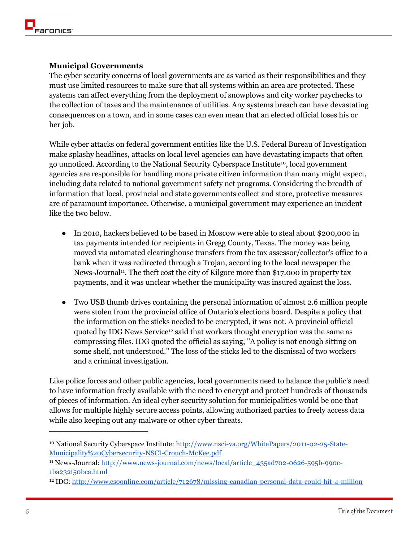# **Municipal Governments**

The cyber security concerns of local governments are as varied as their responsibilities and they must use limited resources to make sure that all systems within an area are protected. These systems can affect everything from the deployment of snowplows and city worker paychecks to the collection of taxes and the maintenance of utilities. Any systems breach can have devastating consequences on a town, and in some cases can even mean that an elected official loses his or her job.

While cyber attacks on federal government entities like the U.S. Federal Bureau of Investigation make splashy headlines, attacks on local level agencies can have devastating impacts that often go unnoticed. According to the National Security Cyberspace Institute10, local government agencies are responsible for handling more private citizen information than many might expect, including data related to national government safety net programs. Considering the breadth of information that local, provincial and state governments collect and store, protective measures are of paramount importance. Otherwise, a municipal government may experience an incident like the two below.

- In 2010, hackers believed to be based in Moscow were able to steal about \$200,000 in tax payments intended for recipients in Gregg County, Texas. The money was being moved via automated clearinghouse transfers from the tax assessor/collector's office to a bank when it was redirected through a Trojan, according to the local newspaper the News-Journal<sup>11</sup>. The theft cost the city of Kilgore more than \$17,000 in property tax payments, and it was unclear whether the municipality was insured against the loss.
- Two USB thumb drives containing the personal information of almost 2.6 million people were stolen from the provincial office of Ontario's elections board. Despite a policy that the information on the sticks needed to be encrypted, it was not. A provincial official quoted by IDG News Service<sup>12</sup> said that workers thought encryption was the same as compressing files. IDG quoted the official as saying, "A policy is not enough sitting on some shelf, not understood." The loss of the sticks led to the dismissal of two workers and a criminal investigation.

Like police forces and other public agencies, local governments need to balance the public's need to have information freely available with the need to encrypt and protect hundreds of thousands of pieces of information. An ideal cyber security solution for municipalities would be one that allows for multiple highly secure access points, allowing authorized parties to freely access data while also keeping out any malware or other cyber threats.

<sup>&</sup>lt;sup>10</sup> National Security Cyberspace Institute: [http://www.nsci-va.org/WhitePapers/2011-02-25-State-](http://www.nsci-va.org/WhitePapers/2011-02-25-State-Municipality%20Cybersecurity-NSCI-Crouch-McKee.pdf)[Municipality%20Cybersecurity-NSCI-Crouch-McKee.pdf](http://www.nsci-va.org/WhitePapers/2011-02-25-State-Municipality%20Cybersecurity-NSCI-Crouch-McKee.pdf)

<sup>&</sup>lt;sup>11</sup> News-Journal: [http://www.news-journal.com/news/local/article\\_435ad702-0626-595b-990e-](http://www.news-journal.com/news/local/article_435ad702-0626-595b-990e-1ba232f50bca.html)[1ba232f50bca.html](http://www.news-journal.com/news/local/article_435ad702-0626-595b-990e-1ba232f50bca.html)

<sup>&</sup>lt;sup>12</sup> IDG:<http://www.csoonline.com/article/712678/missing-canadian-personal-data-could-hit-4-million>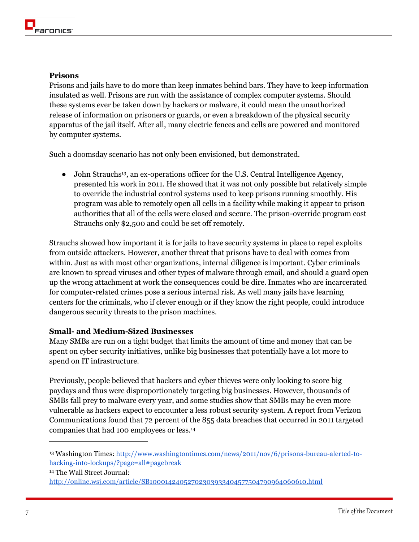# **Prisons**

Prisons and jails have to do more than keep inmates behind bars. They have to keep information insulated as well. Prisons are run with the assistance of complex computer systems. Should these systems ever be taken down by hackers or malware, it could mean the unauthorized release of information on prisoners or guards, or even a breakdown of the physical security apparatus of the jail itself. After all, many electric fences and cells are powered and monitored by computer systems.

Such a doomsday scenario has not only been envisioned, but demonstrated.

• John Strauchs<sup>13</sup>, an ex-operations officer for the U.S. Central Intelligence Agency, presented his work in 2011. He showed that it was not only possible but relatively simple to override the industrial control systems used to keep prisons running smoothly. His program was able to remotely open all cells in a facility while making it appear to prison authorities that all of the cells were closed and secure. The prison-override program cost Strauchs only \$2,500 and could be set off remotely.

Strauchs showed how important it is for jails to have security systems in place to repel exploits from outside attackers. However, another threat that prisons have to deal with comes from within. Just as with most other organizations, internal diligence is important. Cyber criminals are known to spread viruses and other types of malware through email, and should a guard open up the wrong attachment at work the consequences could be dire. Inmates who are incarcerated for computer-related crimes pose a serious internal risk. As well many jails have learning centers for the criminals, who if clever enough or if they know the right people, could introduce dangerous security threats to the prison machines.

## **Small- and Medium-Sized Businesses**

Many SMBs are run on a tight budget that limits the amount of time and money that can be spent on cyber security initiatives, unlike big businesses that potentially have a lot more to spend on IT infrastructure.

Previously, people believed that hackers and cyber thieves were only looking to score big paydays and thus were disproportionately targeting big businesses. However, thousands of SMBs fall prey to malware every year, and some studies show that SMBs may be even more vulnerable as hackers expect to encounter a less robust security system. A report from Verizon Communications found that 72 percent of the 855 data breaches that occurred in 2011 targeted companies that had 100 employees or less.<sup>14</sup>

<sup>14</sup> The Wall Street Journal:

<sup>13</sup> Washington Times: [http://www.washingtontimes.com/news/2011/nov/6/prisons-bureau-alerted-to](http://www.washingtontimes.com/news/2011/nov/6/prisons-bureau-alerted-to-hacking-into-lockups/?page=all#pagebreak)[hacking-into-lockups/?page=all#pagebreak](http://www.washingtontimes.com/news/2011/nov/6/prisons-bureau-alerted-to-hacking-into-lockups/?page=all#pagebreak)

<http://online.wsj.com/article/SB10001424052702303933404577504790964060610.html>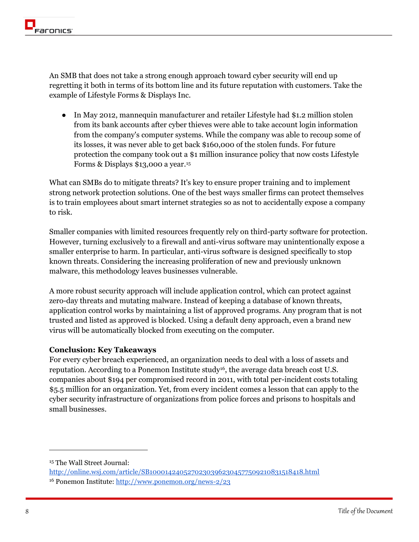An SMB that does not take a strong enough approach toward cyber security will end up regretting it both in terms of its bottom line and its future reputation with customers. Take the example of Lifestyle Forms & Displays Inc.

• In May 2012, mannequin manufacturer and retailer Lifestyle had \$1.2 million stolen from its bank accounts after cyber thieves were able to take account login information from the company's computer systems. While the company was able to recoup some of its losses, it was never able to get back \$160,000 of the stolen funds. For future protection the company took out a \$1 million insurance policy that now costs Lifestyle Forms & Displays \$13,000 a year.<sup>15</sup>

What can SMBs do to mitigate threats? It's key to ensure proper training and to implement strong network protection solutions. One of the best ways smaller firms can protect themselves is to train employees about smart internet strategies so as not to accidentally expose a company to risk.

Smaller companies with limited resources frequently rely on third-party software for protection. However, turning exclusively to a firewall and anti-virus software may unintentionally expose a smaller enterprise to harm. In particular, anti-virus software is designed specifically to stop known threats. Considering the increasing proliferation of new and previously unknown malware, this methodology leaves businesses vulnerable.

A more robust security approach will include application control, which can protect against zero-day threats and mutating malware. Instead of keeping a database of known threats, application control works by maintaining a list of approved programs. Any program that is not trusted and listed as approved is blocked. Using a default deny approach, even a brand new virus will be automatically blocked from executing on the computer.

## **Conclusion: Key Takeaways**

For every cyber breach experienced, an organization needs to deal with a loss of assets and reputation. According to a Ponemon Institute study<sup>16</sup>, the average data breach cost U.S. companies about \$194 per compromised record in 2011, with total per-incident costs totaling \$5.5 million for an organization. Yet, from every incident comes a lesson that can apply to the cyber security infrastructure of organizations from police forces and prisons to hospitals and small businesses.

<sup>15</sup> The Wall Street Journal:

<http://online.wsj.com/article/SB10001424052702303962304577509210831518418.html> <sup>16</sup> Ponemon Institute[: http://www.ponemon.org/news-2/23](http://www.ponemon.org/news-2/23)